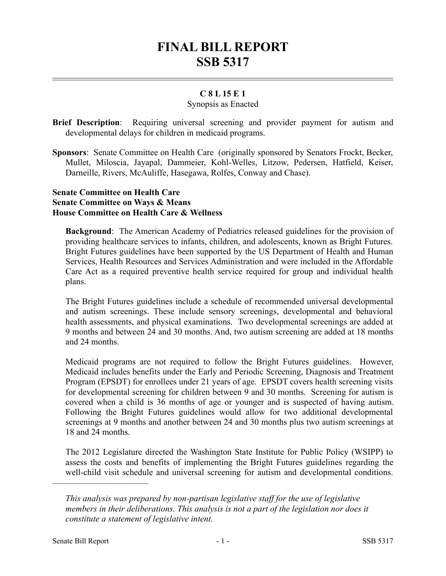# **FINAL BILL REPORT SSB 5317**

## **C 8 L 15 E 1**

### Synopsis as Enacted

- **Brief Description**: Requiring universal screening and provider payment for autism and developmental delays for children in medicaid programs.
- **Sponsors**: Senate Committee on Health Care (originally sponsored by Senators Frockt, Becker, Mullet, Miloscia, Jayapal, Dammeier, Kohl-Welles, Litzow, Pedersen, Hatfield, Keiser, Darneille, Rivers, McAuliffe, Hasegawa, Rolfes, Conway and Chase).

#### **Senate Committee on Health Care Senate Committee on Ways & Means House Committee on Health Care & Wellness**

**Background**: The American Academy of Pediatrics released guidelines for the provision of providing healthcare services to infants, children, and adolescents, known as Bright Futures. Bright Futures guidelines have been supported by the US Department of Health and Human Services, Health Resources and Services Administration and were included in the Affordable Care Act as a required preventive health service required for group and individual health plans.

The Bright Futures guidelines include a schedule of recommended universal developmental and autism screenings. These include sensory screenings, developmental and behavioral health assessments, and physical examinations. Two developmental screenings are added at 9 months and between 24 and 30 months. And, two autism screening are added at 18 months and 24 months.

Medicaid programs are not required to follow the Bright Futures guidelines. However, Medicaid includes benefits under the Early and Periodic Screening, Diagnosis and Treatment Program (EPSDT) for enrollees under 21 years of age. EPSDT covers health screening visits for developmental screening for children between 9 and 30 months. Screening for autism is covered when a child is 36 months of age or younger and is suspected of having autism. Following the Bright Futures guidelines would allow for two additional developmental screenings at 9 months and another between 24 and 30 months plus two autism screenings at 18 and 24 months.

The 2012 Legislature directed the Washington State Institute for Public Policy (WSIPP) to assess the costs and benefits of implementing the Bright Futures guidelines regarding the well-child visit schedule and universal screening for autism and developmental conditions.

––––––––––––––––––––––

*This analysis was prepared by non-partisan legislative staff for the use of legislative members in their deliberations. This analysis is not a part of the legislation nor does it constitute a statement of legislative intent.*